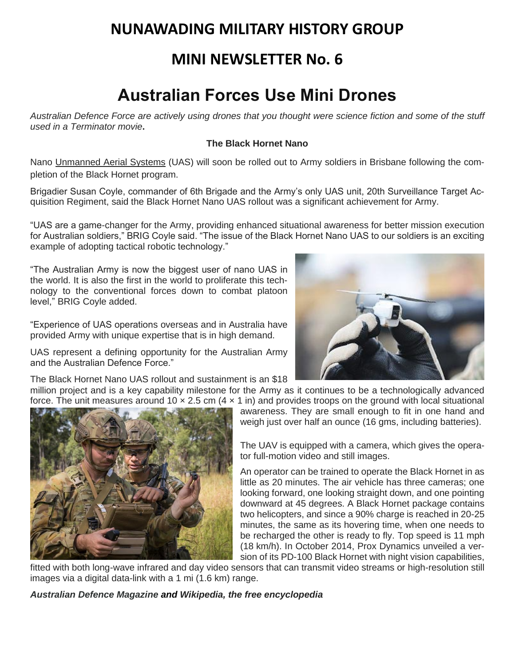## **NUNAWADING MILITARY HISTORY GROUP**

### **MINI NEWSLETTER No. 6**

## **Australian Forces Use Mini Drones**

*Australian Defence Force are actively using drones that you thought were science fiction and some of the stuff used in a Terminator movie***.**

### **The Black Hornet Nano**

Nano Unmanned Aerial Systems (UAS) will soon be rolled out to Army soldiers in Brisbane following the completion of the Black Hornet program.

Brigadier Susan Coyle, commander of 6th Brigade and the Army's only UAS unit, 20th Surveillance Target Acquisition Regiment, said the Black Hornet Nano UAS rollout was a significant achievement for Army.

"UAS are a game-changer for the Army, providing enhanced situational awareness for better mission execution for Australian soldiers," BRIG Coyle said. "The issue of the Black Hornet Nano UAS to our soldiers is an exciting example of adopting tactical robotic technology."

"The Australian Army is now the biggest user of nano UAS in the world. It is also the first in the world to proliferate this technology to the conventional forces down to combat platoon level," BRIG Coyle added.

"Experience of UAS operations overseas and in Australia have provided Army with unique expertise that is in high demand.

UAS represent a defining opportunity for the Australian Army and the Australian Defence Force."

The Black Hornet Nano UAS rollout and sustainment is an \$18

million project and is a key capability milestone for the Army as it continues to be a technologically advanced force. The unit measures around 10  $\times$  2.5 cm (4  $\times$  1 in) and provides troops on the ground with local situational



awareness. They are small enough to fit in one hand and weigh just over half an ounce (16 gms, including batteries).

The UAV is equipped with a camera, which gives the operator full-motion video and still images.

An operator can be trained to operate the Black Hornet in as little as 20 minutes. The air vehicle has three cameras; one looking forward, one looking straight down, and one pointing downward at 45 degrees. A Black Hornet package contains two helicopters, and since a 90% charge is reached in 20-25 minutes, the same as its hovering time, when one needs to be recharged the other is ready to fly. Top speed is 11 mph (18 km/h). In October 2014, Prox Dynamics unveiled a version of its PD-100 Black Hornet with night vision capabilities,

fitted with both long-wave infrared and day video sensors that can transmit video streams or high-resolution still images via a digital data-link with a 1 mi (1.6 km) range.

*[Australian](https://disqus.com/home/forums/australiandefencemagazine/) Defence Magazine and Wikipedia, the free encyclopedia*

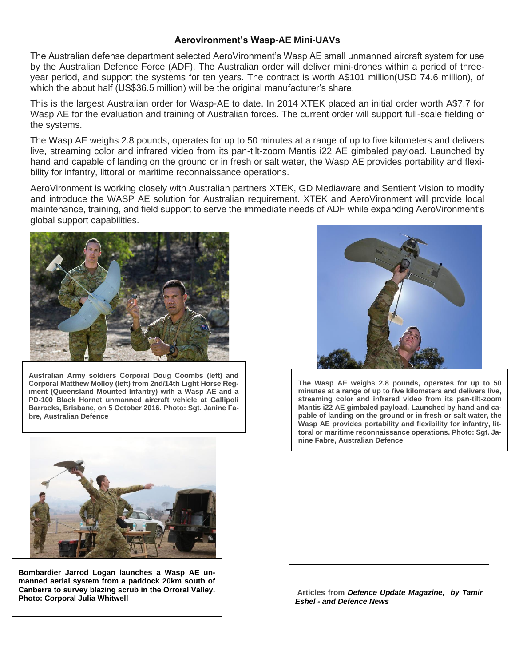#### **Aerovironment's Wasp-AE Mini-UAVs**

The Australian defense department selected AeroVironment's Wasp AE small unmanned aircraft system for use by the Australian Defence Force (ADF). The Australian order will deliver mini-drones within a period of threeyear period, and support the systems for ten years. The contract is worth A\$101 million(USD 74.6 million), of which the about half (US\$36.5 million) will be the original manufacturer's share.

This is the largest Australian order for Wasp-AE to date. In 2014 XTEK placed an initial order worth A\$7.7 for Wasp AE for the evaluation and training of Australian forces. The current order will support full-scale fielding of the systems.

The Wasp AE weighs 2.8 pounds, operates for up to 50 minutes at a range of up to five kilometers and delivers live, streaming color and infrared video from its pan-tilt-zoom Mantis i22 AE gimbaled payload. Launched by hand and capable of landing on the ground or in fresh or salt water, the Wasp AE provides portability and flexibility for infantry, littoral or maritime reconnaissance operations.

AeroVironment is working closely with Australian partners XTEK, GD Mediaware and Sentient Vision to modify and introduce the WASP AE solution for Australian requirement. XTEK and AeroVironment will provide local maintenance, training, and field support to serve the immediate needs of ADF while expanding AeroVironment's global support capabilities.



**Australian Army soldiers Corporal Doug Coombs (left) and Corporal Matthew Molloy (left) from 2nd/14th Light Horse Regiment (Queensland Mounted Infantry) with a Wasp AE and a PD-100 Black Hornet unmanned aircraft vehicle at Gallipoli Barracks, Brisbane, on 5 October 2016. Photo: Sgt. Janine Fabre, Australian Defence**



**The Wasp AE weighs 2.8 pounds, operates for up to 50 minutes at a range of up to five kilometers and delivers live, streaming color and infrared video from its pan-tilt-zoom Mantis i22 AE gimbaled payload. Launched by hand and capable of landing on the ground or in fresh or salt water, the Wasp AE provides portability and flexibility for infantry, littoral or maritime reconnaissance operations. Photo: Sgt. Janine Fabre, Australian Defence**



**Bombardier Jarrod Logan launches a Wasp AE unmanned aerial system from a paddock 20km south of Canberra to survey blazing scrub in the Orroral Valley. Photo: Corporal Julia Whitwell**

**Articles from** *Defence Update Magazine, by Tamir Eshel - and Defence News*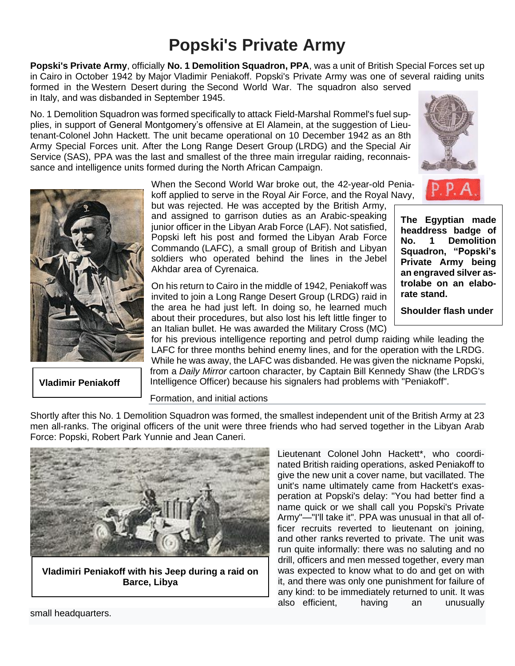# **Popski's Private Army**

**Popski's Private Army**, officially **No. 1 Demolition Squadron, PPA**, was a unit of [British](https://en.wikipedia.org/wiki/United_Kingdom) [Special Forces](https://en.wikipedia.org/wiki/Special_Forces) set up in [Cairo](https://en.wikipedia.org/wiki/Cairo) in October 1942 by [Major](https://en.wikipedia.org/wiki/Major) Vladimir Peniakoff. Popski's Private Army was one of several raiding units formed in the [Western Desert](https://en.wikipedia.org/wiki/Western_Desert_(North_Africa)) during the [Second World War.](https://en.wikipedia.org/wiki/Second_World_War) The squadron also served

in [Italy,](https://en.wikipedia.org/wiki/Italian_Campaign_(World_War_II)) and was disbanded in September 1945.

No. 1 Demolition Squadron was formed specifically to attack [Field-Marshal](https://en.wikipedia.org/wiki/Field-Marshal) Rommel's fuel supplies, in support of General Montgomery's [offensive at El Alamein,](https://en.wikipedia.org/wiki/Second_Battle_of_El_Alamein) at the suggestion of Lieutenant-Colonel [John Hackett.](https://en.wikipedia.org/wiki/John_Hackett_(British_Army_officer)) The unit became operational on 10 December 1942 as an 8th Army Special Forces unit. After the [Long Range Desert Group](https://en.wikipedia.org/wiki/Long_Range_Desert_Group) (LRDG) and the [Special Air](https://en.wikipedia.org/wiki/Special_Air_Service)  [Service](https://en.wikipedia.org/wiki/Special_Air_Service) (SAS), PPA was the last and smallest of the three main irregular raiding, reconnaissance and intelligence units formed during the North African Campaign.



**[Vladimir Peniakoff](https://en.wikipedia.org/wiki/Vladimir_Peniakoff)**

When the [Second World War](https://en.wikipedia.org/wiki/Second_World_War) broke out, the 42-year-old Peniakoff applied to serve in the [Royal Air Force,](https://en.wikipedia.org/wiki/Royal_Air_Force) and the Royal Navy,

but was rejected. He was accepted by the British Army, and assigned to garrison duties as an Arabic-speaking junior officer in the [Libyan Arab Force](https://en.wikipedia.org/w/index.php?title=Libyan_Arab_Force&action=edit&redlink=1) (LAF). Not satisfied, Popski left his post and formed the [Libyan Arab Force](https://en.wikipedia.org/w/index.php?title=Libyan_Arab_Force_Commando&action=edit&redlink=1)  [Commando](https://en.wikipedia.org/w/index.php?title=Libyan_Arab_Force_Commando&action=edit&redlink=1) (LAFC), a small group of British and Libyan soldiers who operated behind the lines in the [Jebel](https://en.wikipedia.org/wiki/Jebel_Akhdar,_Libya)  [Akhdar](https://en.wikipedia.org/wiki/Jebel_Akhdar,_Libya) area of [Cyrenaica.](https://en.wikipedia.org/wiki/Cyrenaica)

On his return to Cairo in the middle of 1942, Peniakoff was invited to join a [Long Range Desert Group](https://en.wikipedia.org/wiki/Long_Range_Desert_Group) (LRDG) raid in the area he had just left. In doing so, he learned much about their procedures, but also lost his left little finger to an Italian bullet. He was awarded the [Military Cross](https://en.wikipedia.org/wiki/Military_Cross) (MC)

for his previous intelligence reporting and petrol dump raiding while leading the LAFC for three months behind enemy lines, and for the operation with the LRDG. While he was away, the LAFC was disbanded. He was given the [nickname](https://en.wikipedia.org/wiki/Nickname) Popski, from a *[Daily Mirror](https://en.wikipedia.org/wiki/Daily_Mirror)* cartoon character, by Captain [Bill Kennedy Shaw](https://en.wikipedia.org/wiki/Bill_Kennedy_Shaw) (the LRDG's Intelligence Officer) because his signalers had problems with "Peniakoff".

Formation, and initial actions

Shortly after this No. 1 Demolition Squadron was formed, the smallest independent unit of the British Army at 23 men all-ranks. The original officers of the unit were three friends who had served together in the Libyan Arab Force: Popski, Robert Park Yunnie and Jean Caneri.



**Vladimiri Peniakoff with his Jeep during a raid on Barce, Libya**

Lieutenant Colonel [John Hackett\\*](https://en.wikipedia.org/wiki/John_Hackett_(British_Army_officer)), who coordinated British raiding operations, asked Peniakoff to give the new unit a cover name, but vacillated. The unit's name ultimately came from Hackett's exasperation at Popski's delay: "You had better find a name quick or we shall call you Popski's Private Army"—"I'll take it". PPA was unusual in that all officer recruits reverted to lieutenant on joining, and [other ranks](https://en.wikipedia.org/wiki/Other_ranks_(UK)) reverted to private. The unit was run quite informally: there was no saluting and no drill, officers and men messed together, every man was expected to know what to do and get on with it, and there was only one punishment for failure of any kind: to be immediately [returned to unit.](https://en.wikipedia.org/wiki/Returned_to_unit) It was also efficient, having an unusually

small [headquarters.](https://en.wikipedia.org/wiki/Headquarters)



**The Egyptian made headdress badge of No. 1 Demolition Squadron, "Popski's Private Army being an engraved silver astrolabe on an elaborate stand.** 

**Shoulder flash under**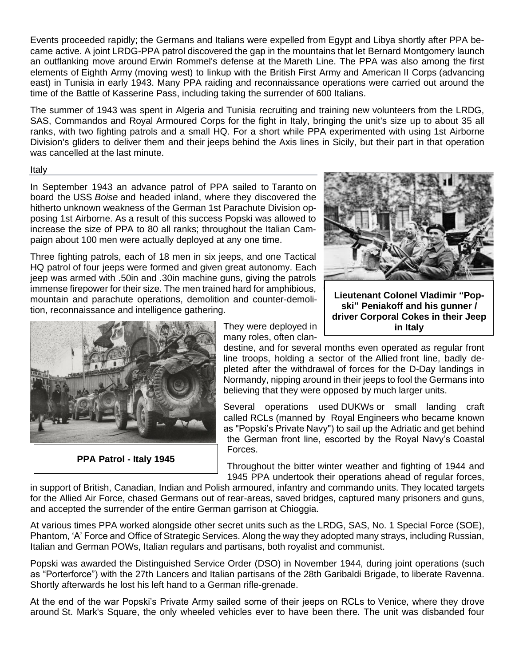Events proceeded rapidly; the Germans and Italians were expelled from Egypt and Libya shortly after PPA became active. A joint LRDG-PPA patrol discovered the gap in the mountains that let [Bernard Montgomery](https://en.wikipedia.org/wiki/Bernard_Montgomery) launch an outflanking move around [Erwin Rommel'](https://en.wikipedia.org/wiki/Erwin_Rommel)s defense at the Mareth Line. The PPA was also among the first elements of [Eighth Army](https://en.wikipedia.org/wiki/Eighth_Army_(United_Kingdom)) (moving west) to linkup with the British [First Army](https://en.wikipedia.org/wiki/First_Army_(United_Kingdom)) and American [II Corps](https://en.wikipedia.org/wiki/II_Corps_(United_States)) (advancing east) in Tunisia in early 1943. Many PPA raiding and reconnaissance operations were carried out around the time of the [Battle of Kasserine Pass,](https://en.wikipedia.org/wiki/Battle_of_Kasserine_Pass) including taking the surrender of 600 Italians.

The summer of 1943 was spent in Algeria and Tunisia recruiting and training new volunteers from the LRDG, SAS, Commandos and Royal Armoured Corps for the fight in Italy, bringing the unit's size up to about 35 all ranks, with two fighting patrols and a small HQ. For a short while PPA experimented with using [1st Airborne](https://en.wikipedia.org/wiki/1st_Airborne_Division)  [Division's](https://en.wikipedia.org/wiki/1st_Airborne_Division) gliders to deliver them and their [jeeps](https://en.wikipedia.org/wiki/Jeep) behind the Axis lines in Sicily, but their part in that operation was cancelled at the last minute.

#### Italy

In September 1943 an advance patrol of PPA sailed to [Taranto](https://en.wikipedia.org/wiki/Taranto) on board the USS *[Boise](https://en.wikipedia.org/wiki/USS_Boise_(CL-47))* and headed inland, where they discovered the hitherto unknown weakness of the [German 1st Parachute Division](https://en.wikipedia.org/wiki/1st_Parachute_Division_(Germany)) opposing 1st Airborne. As a result of this success Popski was allowed to increase the size of PPA to 80 all ranks; throughout the Italian Campaign about 100 men were actually deployed at any one time.

Three fighting patrols, each of 18 men in six jeeps, and one Tactical HQ patrol of four jeeps were formed and given great autonomy. Each jeep was armed with .50in and .30in machine guns, giving the patrols immense firepower for their size. The men trained hard for amphibious, mountain and parachute operations, demolition and counter-demolition, reconnaissance and intelligence gathering.



**PPA Patrol - Italy 1945**

They were deployed in many roles, often clan-

destine, and for several months even operated as regular front line troops, holding a sector of the [Allied](https://en.wikipedia.org/wiki/Allies_of_World_War_II) front line, badly depleted after the withdrawal of forces for the D-Day landings in Normandy, nipping around in their jeeps to fool the Germans into believing that they were opposed by much larger units.

Several operations used [DUKWs](https://en.wikipedia.org/wiki/DUKW) or small landing craft called [RCLs](https://en.wikipedia.org/wiki/Ramped_Cargo_Lighter) (manned by [Royal Engineers](https://en.wikipedia.org/wiki/Royal_Engineers) who became known as "Popski's Private Navy") to sail up the [Adriatic](https://en.wikipedia.org/wiki/Adriatic) and get behind the German front line, escorted by the Royal Navy's [Coastal](https://en.wikipedia.org/wiki/Coastal_Forces)  [Forces.](https://en.wikipedia.org/wiki/Coastal_Forces)

Throughout the bitter winter weather and fighting of 1944 and 1945 PPA undertook their operations ahead of regular forces,

in support of British, [Canadian,](https://en.wikipedia.org/wiki/Canadian_Army) [Indian](https://en.wikipedia.org/wiki/Indian_Army) and [Polish](https://en.wikipedia.org/wiki/Polish_Army) [armoured,](https://en.wikipedia.org/wiki/Armoured_fighting_vehicle) [infantry](https://en.wikipedia.org/wiki/Infantry) and [commando](https://en.wikipedia.org/wiki/Commando) units. They located targets for the Allied Air Force, chased Germans out of rear-areas, saved bridges, captured many prisoners and guns, and accepted the surrender of the entire German garrison at [Chioggia.](https://en.wikipedia.org/wiki/Chioggia)

At various times PPA worked alongside other secret units such as the LRDG, SAS, No. 1 Special Force [\(SOE\)](https://en.wikipedia.org/wiki/Special_Operations_Executive), Phantom, 'A' Force and [Office of Strategic Services.](https://en.wikipedia.org/wiki/Office_of_Strategic_Services) Along the way they adopted many strays, including Russian, Italian and German POWs, Italian regulars and partisans, both royalist and communist.

Popski was awarded the Distinguished Service Order (DSO) in November 1944, during joint operations (such as "Porterforce") with the [27th Lancers](https://en.wikipedia.org/wiki/27th_Lancers) and Italian partisans of the [28th Garibaldi Brigade,](https://en.wikipedia.org/w/index.php?title=28th_Garibaldi_Brigade&action=edit&redlink=1) to liberate [Ravenna.](https://en.wikipedia.org/wiki/Ravenna) Shortly afterwards he lost his left hand to a German [rifle-grenade.](https://en.wikipedia.org/wiki/Rifle-grenade)

At the end of the war Popski's Private Army sailed some of their jeeps on RCLs to [Venice,](https://en.wikipedia.org/wiki/Venice) where they drove around [St. Mark's Square,](https://en.wikipedia.org/wiki/Piazza_San_Marco) the only wheeled vehicles ever to have been there. The unit was disbanded four



**Lieutenant Colonel Vladimir "Popski" Peniakoff and his gunner / driver Corporal Cokes in their Jeep in Italy**